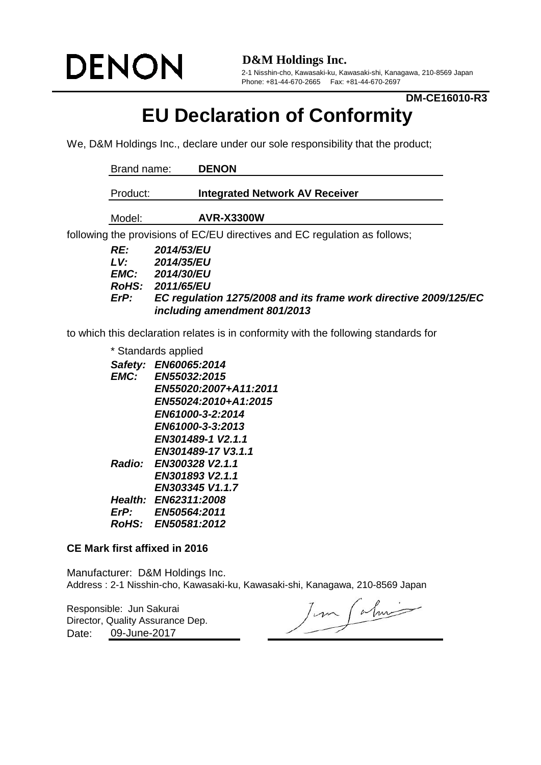# **DENON**

**D&M Holdings Inc.**

2-1 Nisshin-cho, Kawasaki-ku, Kawasaki-shi, Kanagawa, 210-8569 Japan Phone: +81-44-670-2665 Fax: +81-44-670-2697

### **DM-CE16010-R3**

## **EU Declaration of Conformity**

We, D&M Holdings Inc., declare under our sole responsibility that the product;

| Brand name:                                       | <b>DENON</b>                                                                                                                                                    |
|---------------------------------------------------|-----------------------------------------------------------------------------------------------------------------------------------------------------------------|
| Product:                                          | <b>Integrated Network AV Receiver</b>                                                                                                                           |
| Model:                                            | <b>AVR-X3300W</b>                                                                                                                                               |
|                                                   | following the provisions of EC/EU directives and EC regulation as follows;                                                                                      |
| RE:<br>LV:<br><b>EMC:</b><br><b>RoHS:</b><br>ErP: | 2014/53/EU<br>2014/35/EU<br><b>2014/30/EU</b><br>2011/65/EU<br>EC regulation 1275/2008 and its frame work directive 2009/125/EC<br>including amendment 801/2013 |

to which this declaration relates is in conformity with the following standards for

\* Standards applied

| Safety:      | EN60065:2014           |
|--------------|------------------------|
| <b>EMC:</b>  | EN55032:2015           |
|              | EN55020:2007+A11:2011  |
|              | EN55024:2010+A1:2015   |
|              | EN61000-3-2:2014       |
|              | EN61000-3-3:2013       |
|              | EN301489-1 V2.1.1      |
|              | EN301489-17 V3.1.1     |
|              | Radio: EN300328 V2.1.1 |
|              | EN301893 V2.1.1        |
|              | EN303345 V1.1.7        |
|              | Health: EN62311:2008   |
| ErP:         | EN50564:2011           |
| <b>RoHS:</b> | EN50581:2012           |
|              |                        |

#### **CE Mark first affixed in 2016**

Manufacturer: D&M Holdings Inc. Address : 2-1 Nisshin-cho, Kawasaki-ku, Kawasaki-shi, Kanagawa, 210-8569 Japan

Responsible: Jun Sakurai Date: Director, Quality Assurance Dep. 09-June-2017

Jun Calmi